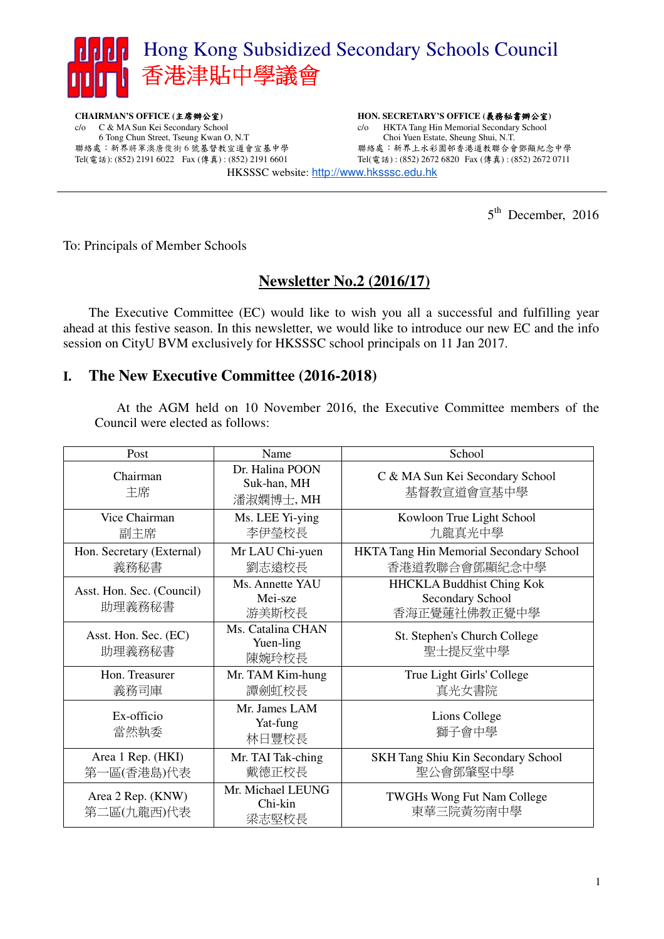

**CHAIRMAN'S OFFICE (**主席辦公室**)**  c/o C & MA Sun Kei Secondary School 6 Tong Chun Street, Tseung Kwan O, N.T 聯絡處:新界將軍澳唐俊街 6 號基督教宣道會宣基中學 Tel(電話): (852) 2191 6022 Fax (傳真) : (852) 2191 6601 **HON. SECRETARY'S OFFICE (**義務秘書辦公室**)**  c/o HKTA Tang Hin Memorial Secondary School Choi Yuen Estate, Sheung Shui, N.T. 聯絡處:新界上水彩園邨香港道教聯合會鄧顯紀念中學 Tel(電話) : (852) 2672 6820 Fax (傳真) : (852) 2672 0711 HKSSSC website: http://www.hksssc.edu.hk

5<sup>th</sup> December, 2016

To: Principals of Member Schools

## **Newsletter No.2 (2016/17)**

 The Executive Committee (EC) would like to wish you all a successful and fulfilling year ahead at this festive season. In this newsletter, we would like to introduce our new EC and the info session on CityU BVM exclusively for HKSSSC school principals on 11 Jan 2017.

## **I. The New Executive Committee (2016-2018)**

At the AGM held on 10 November 2016, the Executive Committee members of the Council were elected as follows:

| Post                                | Name                                        | School                                                               |  |
|-------------------------------------|---------------------------------------------|----------------------------------------------------------------------|--|
| Chairman<br>主席                      | Dr. Halina POON<br>Suk-han, MH<br>潘淑嫻博士, MH | C & MA Sun Kei Secondary School<br>基督教宣道會宣基中學                        |  |
| Vice Chairman<br>副主席                | Ms. LEE Yi-ying<br>李伊瑩校長                    | Kowloon True Light School<br>九龍真光中學                                  |  |
| Hon. Secretary (External)<br>義務秘書   | Mr LAU Chi-yuen<br>劉志遠校長                    | HKTA Tang Hin Memorial Secondary School<br>香港道教聯合會鄧顯紀念中學             |  |
| Asst. Hon. Sec. (Council)<br>助理義務秘書 | Ms. Annette YAU<br>Mei-sze<br>游美斯校長         | <b>HHCKLA Buddhist Ching Kok</b><br>Secondary School<br>香海正覺蓮社佛教正覺中學 |  |
| Asst. Hon. Sec. (EC)<br>助理義務秘書      | Ms. Catalina CHAN<br>Yuen-ling<br>陳婉玲校長     | St. Stephen's Church College<br>聖士提反堂中學                              |  |
| Hon. Treasurer<br>義務司庫              | Mr. TAM Kim-hung<br>譚劍虹校長                   | True Light Girls' College<br>真光女書院                                   |  |
| Ex-officio<br>當然執委                  | Mr. James LAM<br>Yat-fung<br>林日豐校長          | Lions College<br>獅子會中學                                               |  |
| Area 1 Rep. (HKI)<br>第一區(香港島)代表     | Mr. TAI Tak-ching<br>戴德正校長                  | SKH Tang Shiu Kin Secondary School<br>聖公會鄧肇堅中學                       |  |
| Area 2 Rep. (KNW)<br>第二區(九龍西)代表     | Mr. Michael LEUNG<br>Chi-kin<br>梁志堅校長       | TWGHs Wong Fut Nam College<br>東華三院黃笏南中學                              |  |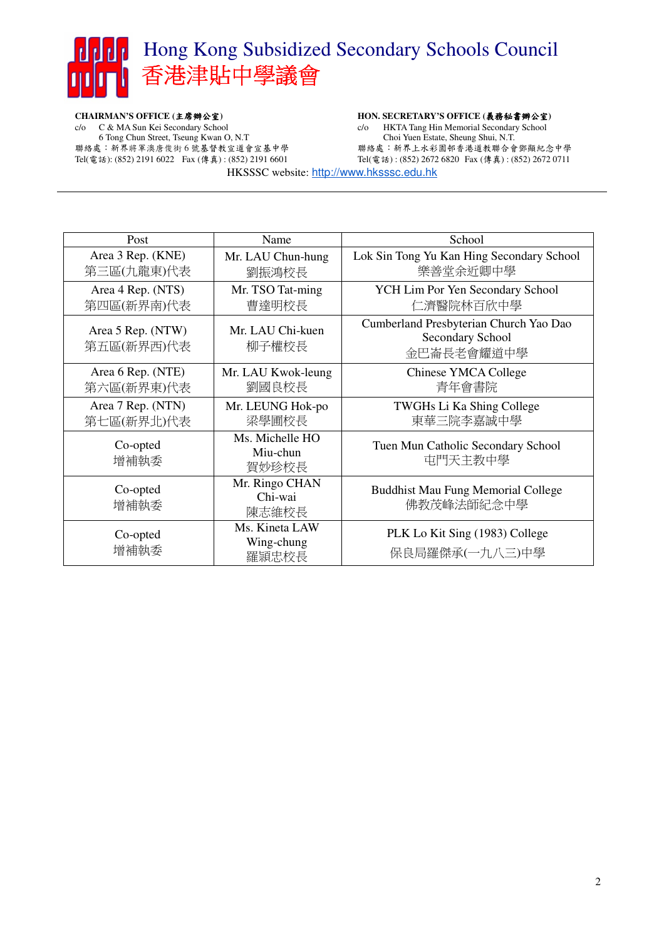# Hong Kong Subsidized Secondary Schools Council 香港津貼中學議會

**CHAIRMAN'S OFFICE (**主席辦公室**)**  c/o C & MA Sun Kei Secondary School 6 Tong Chun Street, Tseung Kwan O, N.T 聯絡處:新界將軍澳唐俊街 6 號基督教宣道會宣基中學 Tel(電話): (852) 2191 6022 Fax (傳真) : (852) 2191 6601

#### **HON. SECRETARY'S OFFICE (**義務秘書辦公室**)**

c/o HKTA Tang Hin Memorial Secondary School Choi Yuen Estate, Sheung Shui, N.T. 聯絡處:新界上水彩園邨香港道教聯合會鄧顯紀念中學 Tel(電話) : (852) 2672 6820 Fax (傳真) : (852) 2672 0711

HKSSSC website: http://www.hksssc.edu.hk

| Post                            | Name                                  | School                                                                   |  |
|---------------------------------|---------------------------------------|--------------------------------------------------------------------------|--|
| Area 3 Rep. (KNE)<br>第三區(九龍東)代表 | Mr. LAU Chun-hung<br>劉振鴻校長            | Lok Sin Tong Yu Kan Hing Secondary School<br>樂善堂余近卿中學                    |  |
| Area 4 Rep. (NTS)<br>第四區(新界南)代表 | Mr. TSO Tat-ming<br>曹達明校長             | YCH Lim Por Yen Secondary School<br>仁濟醫院林百欣中學                            |  |
| Area 5 Rep. (NTW)<br>第五區(新界西)代表 | Mr. LAU Chi-kuen<br>柳子權校長             | Cumberland Presbyterian Church Yao Dao<br>Secondary School<br>金巴崙長老會耀道中學 |  |
| Area 6 Rep. (NTE)<br>第六區(新界東)代表 | Mr. LAU Kwok-leung<br>劉國良校長           | <b>Chinese YMCA College</b><br>青年會書院                                     |  |
| Area 7 Rep. (NTN)<br>第七區(新界北)代表 | Mr. LEUNG Hok-po<br>梁學圃校長             | TWGHs Li Ka Shing College<br>東華三院李嘉誠中學                                   |  |
| Co-opted<br>增補執委                | Ms. Michelle HO<br>Miu-chun<br>賀妙珍校長  | Tuen Mun Catholic Secondary School<br>屯門天主教中學                            |  |
| Co-opted<br>增補執委                | Mr. Ringo CHAN<br>Chi-wai<br>陳志維校長    | <b>Buddhist Mau Fung Memorial College</b><br>佛教茂峰法師紀念中學                  |  |
| Co-opted<br>增補執委                | Ms. Kineta LAW<br>Wing-chung<br>羅頴忠校長 | PLK Lo Kit Sing (1983) College<br>保良局羅傑承(一九八三)中學                         |  |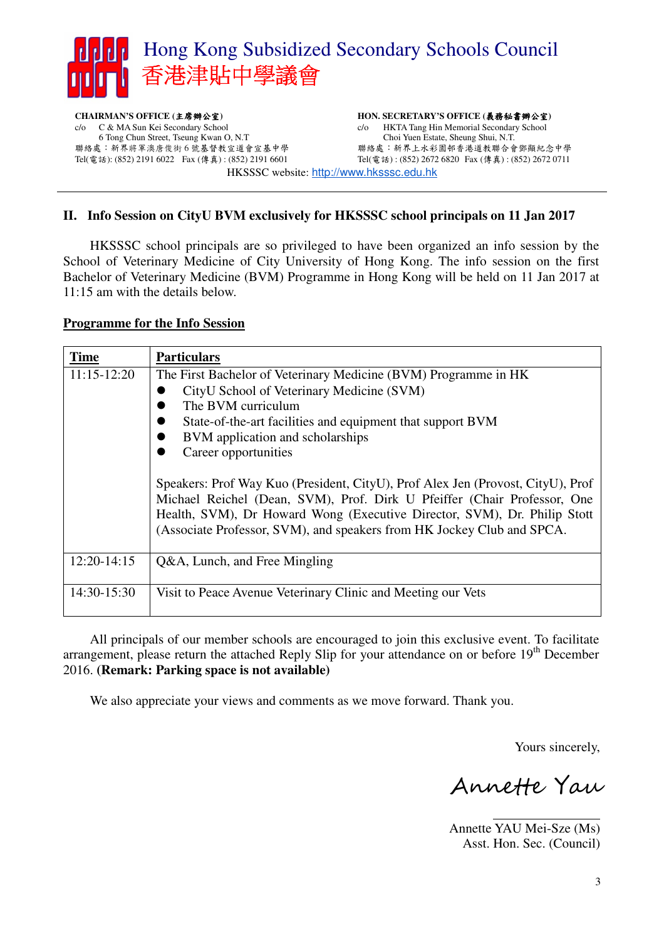

**CHAIRMAN'S OFFICE (**主席辦公室**)**  c/o C & MA Sun Kei Secondary School 6 Tong Chun Street, Tseung Kwan O, N.T 聯絡處:新界將軍澳唐俊街 6 號基督教宣道會宣基中學 Tel(電話): (852) 2191 6022 Fax (傳真) : (852) 2191 6601 **HON. SECRETARY'S OFFICE (**義務秘書辦公室**)**  c/o HKTA Tang Hin Memorial Secondary School Choi Yuen Estate, Sheung Shui, N.T. 聯絡處:新界上水彩園邨香港道教聯合會鄧顯紀念中學 Tel(電話) : (852) 2672 6820 Fax (傳真) : (852) 2672 0711 HKSSSC website: http://www.hksssc.edu.hk

### **II. Info Session on CityU BVM exclusively for HKSSSC school principals on 11 Jan 2017**

HKSSSC school principals are so privileged to have been organized an info session by the School of Veterinary Medicine of City University of Hong Kong. The info session on the first Bachelor of Veterinary Medicine (BVM) Programme in Hong Kong will be held on 11 Jan 2017 at 11:15 am with the details below.

#### **Programme for the Info Session**

| <b>Time</b>   | <b>Particulars</b>                                                                                                                                                                                                                                                                                                                                                                                                                                                                                                                                                                |
|---------------|-----------------------------------------------------------------------------------------------------------------------------------------------------------------------------------------------------------------------------------------------------------------------------------------------------------------------------------------------------------------------------------------------------------------------------------------------------------------------------------------------------------------------------------------------------------------------------------|
| $11:15-12:20$ | The First Bachelor of Veterinary Medicine (BVM) Programme in HK<br>CityU School of Veterinary Medicine (SVM)<br>The BVM curriculum<br>State-of-the-art facilities and equipment that support BVM<br>BVM application and scholarships<br>Career opportunities<br>Speakers: Prof Way Kuo (President, CityU), Prof Alex Jen (Provost, CityU), Prof<br>Michael Reichel (Dean, SVM), Prof. Dirk U Pfeiffer (Chair Professor, One<br>Health, SVM), Dr Howard Wong (Executive Director, SVM), Dr. Philip Stott<br>(Associate Professor, SVM), and speakers from HK Jockey Club and SPCA. |
| $12:20-14:15$ | Q&A, Lunch, and Free Mingling                                                                                                                                                                                                                                                                                                                                                                                                                                                                                                                                                     |
| 14:30-15:30   | Visit to Peace Avenue Veterinary Clinic and Meeting our Vets                                                                                                                                                                                                                                                                                                                                                                                                                                                                                                                      |

All principals of our member schools are encouraged to join this exclusive event. To facilitate arrangement, please return the attached Reply Slip for your attendance on or before  $19<sup>th</sup>$  December 2016. **(Remark: Parking space is not available)**

We also appreciate your views and comments as we move forward. Thank you.

Yours sincerely,

Annette Yau

Annette YAU Mei-Sze (Ms) Asst. Hon. Sec. (Council)

 $\overline{a}$